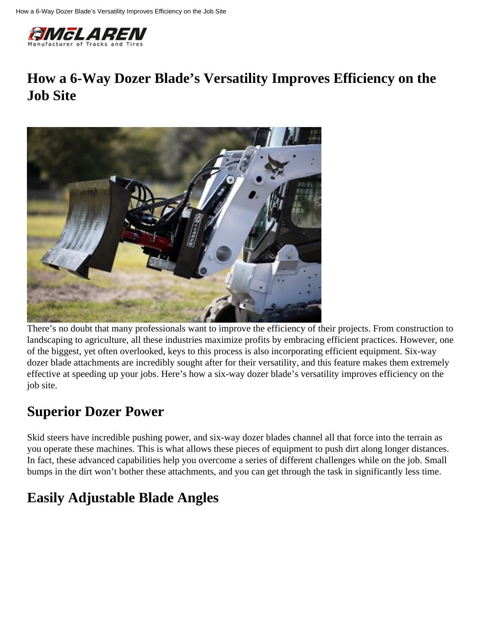

## **How a 6-Way Dozer Blade's Versatility Improves Efficiency on the Job Site**



There's no doubt that many professionals want to improve the efficiency of their projects. From construction to landscaping to agriculture, all these industries maximize profits by embracing efficient practices. However, one of the biggest, yet often overlooked, keys to this process is also incorporating efficient equipment. Six-way dozer blade attachments are incredibly sought after for their versatility, and this feature makes them extremely effective at speeding up your jobs. Here's how a six-way dozer blade's versatility improves efficiency on the job site.

#### **Superior Dozer Power**

Skid steers have incredible pushing power, and six-way dozer blades channel all that force into the terrain as you operate these machines. This is what allows these pieces of equipment to push dirt along longer distances. In fact, these advanced capabilities help you overcome a series of different challenges while on the job. Small bumps in the dirt won't bother these attachments, and you can get through the task in significantly less time.

# **Easily Adjustable Blade Angles**